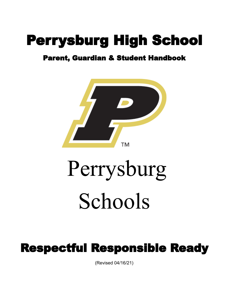## Perrysburg High School

#### Parent, Guardian & Student Handbook



# Perrysburg Schools

### Respectful Responsible Ready

(Revised 04/16/21)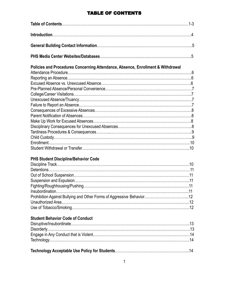#### TABLE OF CONTENTS

| Policies and Procedures Concerning Attendance, Absence, Enrollment & Withdrawal |  |
|---------------------------------------------------------------------------------|--|
|                                                                                 |  |
|                                                                                 |  |
|                                                                                 |  |
|                                                                                 |  |
|                                                                                 |  |
|                                                                                 |  |
|                                                                                 |  |
|                                                                                 |  |
|                                                                                 |  |
|                                                                                 |  |
|                                                                                 |  |
|                                                                                 |  |
|                                                                                 |  |
|                                                                                 |  |

#### **PHS Student Discipline/Behavior Code**

#### **Student Behavior Code of Conduct**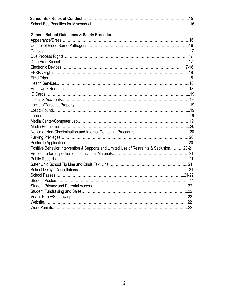| <b>General School Guidelines &amp; Safety Procedures</b><br>Positive Behavior Intervention & Supports and Limited Use of Restraints & Seclusion20-21 |  |
|------------------------------------------------------------------------------------------------------------------------------------------------------|--|
|                                                                                                                                                      |  |
|                                                                                                                                                      |  |
|                                                                                                                                                      |  |
|                                                                                                                                                      |  |
|                                                                                                                                                      |  |
|                                                                                                                                                      |  |
|                                                                                                                                                      |  |
|                                                                                                                                                      |  |
|                                                                                                                                                      |  |
|                                                                                                                                                      |  |
|                                                                                                                                                      |  |
|                                                                                                                                                      |  |
|                                                                                                                                                      |  |
|                                                                                                                                                      |  |
|                                                                                                                                                      |  |
|                                                                                                                                                      |  |
|                                                                                                                                                      |  |
|                                                                                                                                                      |  |
|                                                                                                                                                      |  |
|                                                                                                                                                      |  |
|                                                                                                                                                      |  |
|                                                                                                                                                      |  |
|                                                                                                                                                      |  |
|                                                                                                                                                      |  |
|                                                                                                                                                      |  |
|                                                                                                                                                      |  |
|                                                                                                                                                      |  |
|                                                                                                                                                      |  |
|                                                                                                                                                      |  |
|                                                                                                                                                      |  |
|                                                                                                                                                      |  |
|                                                                                                                                                      |  |
|                                                                                                                                                      |  |
|                                                                                                                                                      |  |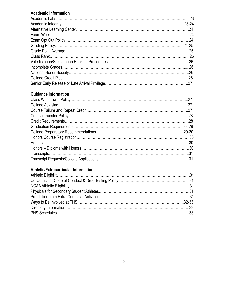#### **Academic Information**

#### **Guidance Information**

#### **Athletic/Extracurricular Information**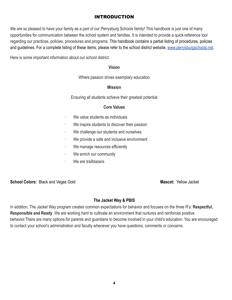#### INTRODUCTION

We are so pleased to have your family as a part of our Perrysburg Schools family! This handbook is just one of many opportunities for communication between the school system and families. It is intended to provide a quick-reference tool regarding our practices, policies, procedures and programs. This handbook contains a partial listing of procedures, policies and guidelines. For a complete listing of these items, please refer to the school district website, [www.perrysburgschools.net.](http://www.perrysburgschools.net/)

Here is some important information about our school district:

#### **Vision**

Where passion drives exemplary education

#### **Mission**

Ensuring all students achieve their greatest potential

#### **Core Values**

- · We value students as individuals
- · We inspire students to discover their passion
- · We challenge our students and ourselves
- · We provide a safe and inclusive environment
- · We manage resources efficiently
- · We enrich our community
- We are trailblazers

**School Colors:** Black and Vegas Gold **Mascot:** Yellow Jacket

#### **The Jacket Way & PBIS**

In addition, The Jacket Way program creates common expectations for behavior and focuses on the three R's: **Respectful, Responsible and Ready**. We are working hard to cultivate an environment that nurtures and reinforces positive behavior.There are many options for parents and guardians to become involved in your child's education. You are encouraged to contact your school's administration and faculty whenever you have questions, comments or concerns.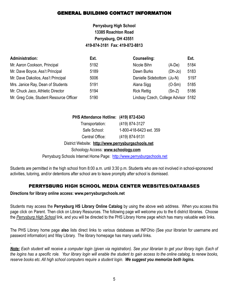#### GENERAL BUILDING CONTACT INFORMATION

#### **Perrysburg High School 13385 Roachton Road Perrysburg, OH 43551 419-874-3181 Fax: 419-872-8813**

| <b>Administration:</b>                  | Ext. | <b>Counseling:</b>                  |           | Ext. |
|-----------------------------------------|------|-------------------------------------|-----------|------|
| Mr. Aaron Cookson, Principal            | 5192 | Nicole Bihn                         | $(A-De)$  | 5184 |
| Mr. Dave Boyce, Ass't Principal         | 5189 | Dawn Burks                          | $(Dh-Jo)$ | 5183 |
| Mr. Dave Dakolios, Ass't Principal      | 5006 | Danielle Sidebottom (Ju-N)          |           | 5197 |
| Mrs. Janice Ray, Dean of Students       | 5191 | Alana Sigg                          | $(O-Sm)$  | 5185 |
| Mr. Chuck Jaco, Athletic Director       | 5194 | <b>Rick Rettig</b>                  | $(Sn-Z)$  | 5186 |
| Mr. Greg Cole, Student Resource Officer | 5190 | Lindsay Czech, College Advisor 5182 |           |      |

#### **PHS Attendance Hotline: (419) 872-6343**

Transportation: (419) 874-3127

Safe School: 1-800-418-6423 ext. 359

Central Office: (419) 874-9131

#### District Website: **http://www.perrysburgschools.net**

#### Schoology Access: **www.schoology.com**

Perrysburg Schools Internet Home Page: <http://www.perrysburgschools.net>

Students are permitted in the high school from 8:00 a.m. until 3:30 p.m. Students who are not involved in school-sponsored activities, tutoring, and/or detentions after school are to leave promptly after school is dismissed.

#### PERRYSBURG HIGH SCHOOL MEDIA CENTER WEBSITES/DATABASES

**Directions for library online access: www.perrysburgschools.net**

.

Students may access the **Perrysburg HS Library Online Catalog** by using the above web address. When you access this page click on Parent. Then click on Library Resources. The following page will welcome you to the 6 district libraries. Choose the *Perrysburg High School* link, and you will be directed to the PHS Library Home page which has many valuable web links.

The PHS Library home page **also** lists direct links to various databases as INFOhio (See your librarian for username and password information) and Way Library. The library homepage has many useful links.

Note: Each student will receive a computer login (given via registration). See your librarian to get your library login. Each of the logins has a specific role. Your library login will enable the student to gain access to the online catalog, to renew books, *reserve books etc. All high school computers require a student login. We suggest you memorize both logins.*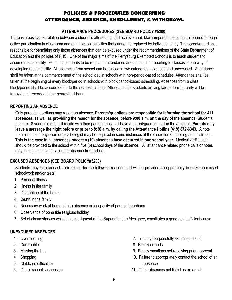#### POLICIES & PROCEDURES CONCERNING ATTENDANCE, ABSENCE, ENROLLMENT, & WITHDRAWL

#### **ATTENDANCE PROCEDURES (SEE BOARD POLICY #5200)**

There is a positive correlation between a student's attendance and achievement. Many important lessons are learned through active participation in classroom and other school activities that cannot be replaced by individual study. The parent/guardian is responsible for permitting only those absences that can be excused under the recommendations of the State Department of Education and the policies of PHS. One of the major aims of the Perrysburg Exempted Schools is to teach students to assume responsibility. Requiring students to be regular in attendance and punctual in reporting to classes is one way of developing responsibility. All absences from school can be placed in two categories - excused and unexcused. Attendance shall be taken at the commencement of the school day in schools with non-period-based schedules. Attendance shall be taken at the beginning of every block/period in schools with block/period-based scheduling. Absences from a class block/period shall be accounted for to the nearest full hour. Attendance for students arriving late or leaving early will be tracked and recorded to the nearest full hour.

#### **REPORTING AN ABSENCE**

Only parents/guardians may report an absence. **Parents/guardians are responsible for informing the school for ALL absences, as well as providing the reason for the absence, before 9:00 a.m. on the day of the absence**. Students that are 18 years old and still reside with their parents must still have a parent/guardian call in the absence**. Parents may leave a message the night before or prior to 8:30 a.m. by calling the Attendance Hotline (419) 872-6343.** A note from a licensed physician or psychologist may be required in some instances at the discretion of building administration. **This is the case in all absences once ten (10) absences have occurred in one school year.** Medical verification should be provided to the school within five (5) school days of the absence. All attendance related phone calls or notes may be subject to verification for absence from school.

#### **EXCUSED ABSENCES (SEE BOARD POLICY#5200)**

Students may be excused from school for the following reasons and will be provided an opportunity to make-up missed schoolwork and/or tests:

- 1. Personal Illness
- 2. Illness in the family
- 3. Quarantine of the home
- 4. Death in the family
- 5. Necessary work at home due to absence or incapacity of parents/guardians
- 6. Observance of bona fide religious holiday
- 7. Set of circumstances which in the judgment of the Superintendent/designee, constitutes a good and sufficient cause

#### **UNEXCUSED ABSENCES**

- 
- 
- 
- 
- 5. Childcare difficulties absence
- 
- 1. Oversleeping 7. Truancy (purposefully skipping school)
- 2. Car trouble 8. Family errands
- 3. Missing the bus 9. Family vacations not receiving prior approval
- 4. Shopping 10. Failure to appropriately contact the school of an
- 6. Out-of-school suspension 11. Other absences not listed as excused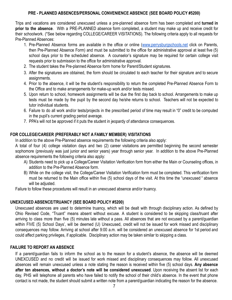#### **PRE - PLANNED ABSENCES/PERSONAL CONVENIENCE ABSENCE (SEE BOARD POLICY #5200)**

Trips and vacations are considered unexcused unless a pre-planned absence form has been completed and **turned in prior to the absence**. With a PRE-PLANNED absence form completed, a student may make up and receive credit for their schoolwork. (\*See below regarding COLLEGE/CAREER VISITATIONS). The following criteria apply to all requests for Pre-Planned Absences:

- 1. Pre-Planned Absence forms are available in the office or online ([www.perrysburgschools.net](http://www.perrysburgschools.net) click on Parents, then Pre-Planned Absence Form) and must be submitted to the office for administrative approval at least five (5) school days prior to the scheduled absence. A counselor's signature may be required for certain college visit requests prior to submission to the office for administrative approval.
- 2. The student takes the Pre-planned Absence form home for Parent/Student signatures.
- 3. After the signatures are obtained, the form should be circulated to each teacher for their signature and to secure assignments.
- 4. Prior to the absence, it will be the student's responsibility to return the completed Pre-Planned Absence Form to the Office and to make arrangements for make-up work and/or tests missed.
- 5. Upon return to school, homework assignments will be due the first day back to school. Arrangements to make up tests must be made by the pupil by the second day he/she returns to school. Teachers will not be expected to tutor individual students.
- 6. Failure to do all work and/or tests/projects in the prescribed period of time may result in "0" credit to be computed in the pupil's current grading period average.
- 7. PPA's will not be approved if it puts the student in jeopardy of attendance consequences.

#### **FOR COLLEGE/CAREER (PREFERABLY NOT A FAMILY MEMBER) VISITATIONS**

In addition to the above Pre-Planned absence requirements the following criteria also apply:

A total of four (4) college visitation days and two (2) career visitations are permitted beginning the second semester sophomore (previously was just junior and senior years) year through senior year. In addition to the above Pre-Planned absence requirements the following criteria also apply:

- A) Students need to pick up a College/Career Visitation Verification form from either the Main or Counseling offices, in addition to the Pre-Planned Absence form.
- B) While on the college visit, the College/Career Visitation Verification form must be completed. This verification form must be returned to the Main office within five (5) school days of the visit. At this time the "unexcused " absence will be adjusted.

Failure to follow these procedures will result in an unexcused absence and/or truancy.

#### **UNEXCUSED ABSENCE/TRUANCY (SEE BOARD POLICY #5200)**

Unexcused absences are used to determine truancy, which will be dealt with through disciplinary action. As defined by Ohio Revised Code, "Truant" means absent without excuse. A student is considered to be skipping class/truant after arriving to class more than five (5) minutes late without a pass. All absences that are not excused by a parent/guardian within FIVE (5) School Days', will be deemed (U) Unexcused, credit will not be issued for work missed and disciplinary consequences may follow. Arriving at school after 9:00 a.m. will be considered an unexcused absence for 1st period and could affect parking privileges, if applicable. Disciplinary action may be taken similar to skipping a class.

#### **FAILURE TO REPORT AN ABSENCE**

If a parent/guardian fails to inform the school as to the reason for a student's absence, the absence will be deemed UNEXCUSED and no credit will be issued for work missed and disciplinary consequences may follow. All unexcused absences will remain unexcused unless a note stating the reason is received within five (5) school days. **Any absence after ten absences, without a doctor's note will be considered unexcused**. Upon receiving the absent list for each day, PHS will telephone all parents who have failed to notify the school of their child's absence. In the event that phone contact is not made, the student should submit a written note from a parent/guardian indicating the reason for the absence.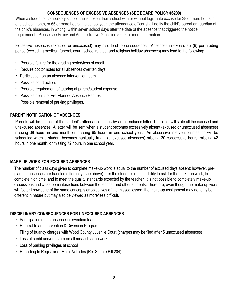#### **CONSEQUENCES OF EXCESSIVE ABSENCES (SEE BOARD POLICY #5200)**

When a student of compulsory school age is absent from school with or without legitimate excuse for 38 or more hours in one school month, or 65 or more hours in a school year, the attendance officer shall notify the child's parent or guardian of the child's absences, in writing, within seven school days after the date of the absence that triggered the notice requirement. Please see Policy and Administrative Guideline 5200 for more information.

Excessive absences (excused or unexcused) may also lead to consequences. Absences in excess six (6) per grading period (excluding medical, funeral, court, school related, and religious holiday absences) may lead to the following:

- Possible failure for the grading period/loss of credit.
- Require doctor notes for all absences over ten days.
- Participation on an absence intervention team
- Possible court action.
- Possible requirement of tutoring at parent/student expense.
- Possible denial of Pre-Planned Absence Request.
- Possible removal of parking privileges.

#### **PARENT NOTIFICATION OF ABSENCES**

Parents will be notified of the student's attendance status by an attendance letter. This letter will state all the excused and unexcused absences. A letter will be sent when a student becomes excessively absent (excused or unexcused absences) missing 38 hours in one month or missing 65 hours in one school year. An absensive intervention meeting will be scheduled when a student becomes habitually truant (unexcused absences) missing 30 consecutive hours, missing 42 hours in one month, or missing 72 hours in one school year.

#### **MAKE-UP WORK FOR EXCUSED ABSENCES**

The number of class days given to complete make-up work is equal to the number of excused days absent; however, preplanned absences are handled differently (see above). It is the student's responsibility to ask for the make-up work, to complete it on time, and to meet the quality standards expected by the teacher. It is not possible to completely make-up discussions and classroom interactions between the teacher and other students. Therefore, even though the make-up work will foster knowledge of the same concepts or objectives of the missed lesson, the make-up assignment may not only be different in nature but may also be viewed as more/less difficult.

#### **DISCIPLINARY CONSEQUENCES FOR UNEXCUSED ABSENCES**

- Participation on an absence intervention team
- Referral to an Intervention & Diversion Program
- Filing of truancy charges with Wood County Juvenile Court (charges may be filed after 5 unexcused absences)
- Loss of credit and/or a zero on all missed schoolwork
- Loss of parking privileges at school
- Reporting to Registrar of Motor Vehicles (Re: Senate Bill 204)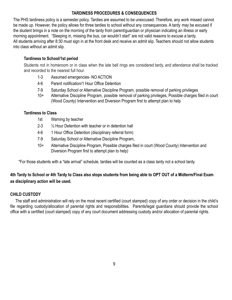#### **TARDINESS PROCEDURES & CONSEQUENCES**

The PHS tardiness policy is a semester policy. Tardies are assumed to be unexcused. Therefore, any work missed cannot be made up. However, the policy allows for three tardies to school without any consequences. A tardy may be excused if the student brings in a note on the morning of the tardy from parent/guardian or physician indicating an illness or early morning appointment. "Sleeping in, missing the bus, car wouldn't start" are not valid reasons to excuse a tardy. All students arriving after 8:30 must sign in at the front desk and receive an admit slip. Teachers should not allow students into class without an admit slip.

#### **Tardiness to School/1st period**

Students not in homeroom or in class when the late bell rings are considered tardy, and attendance shall be tracked and recorded to the nearest full hour.

- 1-3 Assumed emergencies- NO ACTION
- 4-6 Parent notification/1 Hour Office Detention
- 7-9 Saturday School or Alternative Discipline Program, possible removal of parking privileges
- 10+ Alternative Discipline Program, possible removal of parking privileges, Possible charges filed in court (Wood County) Intervention and Diversion Program first to attempt plan to help

#### **Tardiness to Class**

- 1st Warning by teacher
- 2-3 ½ Hour Detention with teacher or in detention hall
- 4-6 1 Hour Office Detention (disciplinary referral form)
- 7-9 Saturday School or Alternative Discipline Program,
- 10+ Alternative Discipline Program, Possible charges filed in court (Wood County) Intervention and Diversion Program first to attempt plan to help)

\*For those students with a "late arrival" schedule, tardies will be counted as a class tardy not a school tardy.

#### **4th Tardy to School or 4th Tardy to Class also stops students from being able to OPT OUT of a Midterm/Final Exam as disciplinary action will be used.**

#### **CHILD CUSTODY**

The staff and administration will rely on the most recent certified (court stamped) copy of any order or decision in the child's file regarding custody/allocation of parental rights and responsibilities. Parents/legal guardians should provide the school office with a certified (court stamped) copy of any court document addressing custody and/or allocation of parental rights.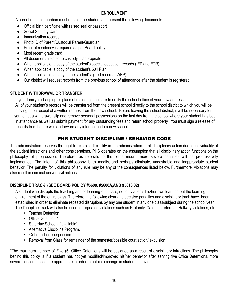#### **ENROLLMENT**

A parent or legal guardian must register the student and present the following documents:

- Official birth certificate with raised seal or passport
- Social Security Card
- Immunization records
- Photo ID of Parent/Custodial Parent/Guardian
- Proof of residency is required as per Board policy
- Most recent grade card
- All documents related to custody, if appropriate
- When applicable, a copy of the student's special education records (IEP and ETR)
- When applicable, a copy of the student's 504 Plan
- When applicable, a copy of the student's gifted records (WEP)
- Our district will request records from the previous school of attendance after the student is registered.

#### **STUDENT WITHDRAWAL OR TRANSFER**

If your family is changing its place of residence, be sure to notify the school office of your new address.

All of your student's records will be transferred from the present school directly to the school district to which you will be moving upon receipt of a written request from the new school. Before leaving the school district, it will be necessary for you to get a withdrawal slip and remove personal possessions on the last day from the school where your student has been in attendance as well as submit payment for any outstanding fees and return school property. You must sign a release of records from before we can forward any information to a new school.

#### PHS STUDENT DISCIPLINE / BEHAVIOR CODE

The administration reserves the right to exercise flexibility in the administration of all disciplinary action due to individuality of the student infractions and other considerations. PHS operates on the assumption that all disciplinary action functions on the philosophy of progression. Therefore, as referrals to the office mount, more severe penalties will be progressively implemented. The intent of this philosophy is to modify, and perhaps eliminate, undesirable and inappropriate student behavior. The penalty for violations of any rule may be any of the consequences listed below. Furthermore, violations may also result in criminal and/or civil actions.

#### **DISCIPLINE TRACK (SEE BOARD POLICY #5600, #5600A,AND #5610.02)**

A student who disrupts the teaching and/or learning of a class, not only affects his/her own learning but the learning environment of the entire class. Therefore, the following clear and decisive penalties and disciplinary track have been established in order to eliminate repeated disruptions by any one student in any one class/subject during the school year. The Discipline Track will also be used for repeated violations such as Profanity, Cafeteria referrals, Hallway violations, etc.

- Teacher Detention
- Office Detention \*
- Saturday School (if available)
- Alternative Discipline Program,
- Out of school suspension
- Removal from Class for remainder of the semester/possible court action/ expulsion

\*The maximum number of Five (5) Office Detentions will be assigned as a result of disciplinary infractions. The philosophy behind this policy is if a student has not yet modified/improved his/her behavior after serving five Office Detentions, more severe consequences are appropriate in order to obtain a change in student behavior.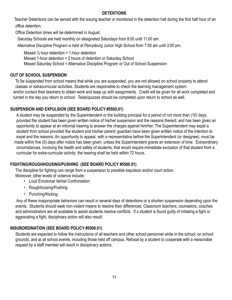#### **DETENTIONS**

Teacher Detentions can be served with the issuing teacher or monitored in the detention hall during the first half hour of an office detention.

Office Detention times will be determined in August.

Saturday Schools are held monthly on designated Saturdays from 8:00 until 11:00 am.

Alternative Discipline Program is held at Perrysburg Junior High School from 7:50 am until 3:00 pm.

Missed  $\frac{1}{2}$  hour detention = 1-hour detention Missed 1-hour detention = 2 hours of detention or Saturday School Missed Saturday School = Alternative Discipline Program or Out of School Suspension

#### **OUT OF SCHOOL SUSPENSION**

To be suspended from school means that while you are suspended, you are not allowed on school property to attend classes or extracurricular activities. Students are responsible to check the learning management system and/or contact their teachers to obtain work and keep up with assignments. Credit will be given for all work completed and turned in the day you return to school. Tests/quizzes should be completed upon return to school as well.

#### **SUSPENSION AND EXPULSION (SEE BOARD POLICY #5500.01)**

A student may be suspended by the Superintendent or the building principal for a period of not more than (10) days, provided the student has been given written notice of his/her suspension and the reasons thereof, and has been given an opportunity to appear at an informal hearing to answer the charges against him/her. The Superintendent may expel a student from school provided the student and his/her parent/ guardian have been given written notice of the intention to expel and the reasons. An opportunity to appeal, with a representative before the Superintendent (or designee), must be made within five (5) days after notice has been given, unless the Superintendent grants an extension of time. Extraordinary circumstances, involving the health and safety of students, that would require immediate exclusion of that student from a curricular for extra-curricular activity; the hearing shall be held within 72 hours.

#### **FIGHTING/ROUGHHOUSING/PUSHING (SEE BOARD POLICY #5500.01)**

The discipline for fighting can range from a suspension to possible expulsion and/or court action. Moreover, other levels of violence include:

- Loud Emotional Verbal Confrontation
- Roughhousing/Pushing
- Punching/Kicking

Any of these inappropriate behaviors can result in several days of detentions or a shorten suspension depending upon the events. Students should seek non-violent means to resolve their differences. Classroom teachers, counselors, coaches and administrators are all available to assist students resolve conflicts. If a student is found guilty of initiating a fight or aggravating a fight, disciplinary action will also result.

#### **INSUBORDINATION (SEE BOARD POLICY #5500.01)**

Students are expected to follow the instructions of all teachers and other school personnel while in the school, on school grounds, and at all school events, including those held off campus. Refusal by a student to cooperate with a reasonable request by a staff member will result in disciplinary actions.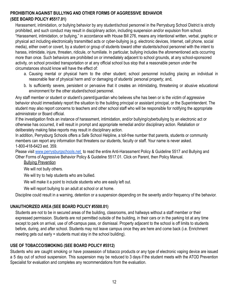#### **PROHIBITION AGAINST BULLYING AND OTHER FORMS OF AGGRESSIVE BEHAVIOR (SEE BOARD POLICY #5517.01)**

Harassment, intimidation, or bullying behavior by any student/school personnel in the Perrysburg School District is strictly prohibited, and such conduct may result in disciplinary action, including suspension and/or expulsion from school. "Harassment, intimidation, or bullying," in accordance with House Bill 276, means any intentional written, verbal, graphic or physical act including electronically transmitted acts or cyber-bullying (e.g. electronic devices, Internet, cell phone, social media), either overt or covert, by a student or group of students toward other students/school personnel with the intent to harass, intimidate, injure, threaten, ridicule, or humiliate. In particular, bullying includes the aforementioned acts occurring more than once. Such behaviors are prohibited on or immediately adjacent to school grounds, at any school-sponsored activity, on school provided transportation or at any official school bus stop that a reasonable person under the circumstances should know will have the effect of:

- a. Causing mental or physical harm to the other student; school personnel including placing an individual in reasonable fear of physical harm and/ or damaging of students' personal property; and,
- b. Is sufficiently severe, persistent or pervasive that it creates an intimidating, threatening or abusive educational environment for the other student/school personnel.

Any staff member or student or student's parent/guardian who believes s/he has been or is the victim of aggressive behavior should immediately report the situation to the building principal or assistant principal, or the Superintendent. The student may also report concerns to teachers and other school staff who will be responsible for notifying the appropriate administrator or Board official.

If the investigation finds an instance of harassment, intimidation, and/or bullying/cyberbullying by an electronic act or otherwise has occurred, it will result in prompt and appropriate remedial and/or disciplinary action. Retaliation or deliberately making false reports may result in disciplinary action.

In addition, Perrysburg Schools offers a Safe School Helpline, a toll-free number that parents, students or community members can report any information that threatens our students, faculty or staff. Your name is never asked. 1-800-418-6423 ext. 359.

Please visit [www.perrysburgschools.net](http://www.perrysburgschools.net) to read the entire Anti-Harassment Policy & Guideline 5517 and Bullying and Other Forms of Aggressive Behavior Policy & Guideline 5517.01. Click on Parent, then Policy Manual.

#### Bullying Prevention

We will not bully others.

We will try to help students who are bullied.

We will make it a point to include students who are easily left out.

We will report bullying to an adult at school or at home.

Discipline could result in a warning, detention or a suspension depending on the severity and/or frequency of the behavior.

#### **UNAUTHORIZED AREA (SEE BOARD POLICY #5500.01)**

Students are not to be in secured areas of the building, classrooms, and hallways without a staff member or their expressed permission. Students are not permitted outside of the building, in their cars or in the parking lot at any time except to park on arrival, use of off-campus pass, or dismissal. Property adjacent to the school is off limits to students before, during, and after school. Students may not leave campus once they are here and come back (i.e. Enrichment meeting gets out early = students must stay in the school building).

#### **USE OF TOBACCO/SMOKING (SEE BOARD POLICY #5512)**

Students who are caught smoking or have possession of tobacco products or any type of electronic vaping device are issued a 5 day out of school suspension. This suspension may be reduced to 3 days if the student meets with the ATOD Prevention Specialist for evaluation and completes any recommendations from the evaluation.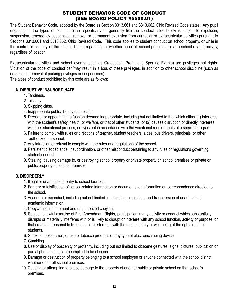#### STUDENT BEHAVIOR CODE OF CONDUCT (SEE BOARD POLICY #5500.01)

The Student Behavior Code, adopted by the Board as Section 3313.661 and 3313.662, Ohio Revised Code states: Any pupil engaging in the types of conduct either specifically or generally like the conduct listed below is subject to expulsion, suspension, emergency suspension, removal or permanent exclusion from curricular or extracurricular activities pursuant to Sections 3313.661 and 3313.662, Ohio Revised Code. This code applies to student conduct on school property, or while in the control or custody of the school district, regardless of whether on or off school premises, or at a school-related activity, regardless of location.

Extracurricular activities and school events (such as Graduation, Prom, and Sporting Events) are privileges not rights. Violation of the code of conduct can/may result in a loss of these privileges, in addition to other school discipline (such as detentions, removal of parking privileges or suspensions).

The types of conduct prohibited by this code are as follows:

#### **A. DISRUPTIVE/INSUBORDINATE**

- 1. Tardiness.
- 2. Truancy.
- 3. Skipping class.
- 4. Inappropriate public display of affection.
- 5. Dressing or appearing in a fashion deemed inappropriate, including but not limited to that which either (1) interferes with the student's safety, health, or welfare, or that of other students, or (2) causes disruption or directly interferes with the educational process, or (3) is not in accordance with the vocational requirements of a specific program.
- 6. Failure to comply with rules or directions of teacher, student teachers, aides, bus drivers, principals, or other authorized personnel.
- 7. Any infraction or refusal to comply with the rules and regulations of the school.
- 8. Persistent disobedience, insubordination, or other misconduct pertaining to any rules or regulations governing student conduct.
- 9. Stealing, causing damage to, or destroying school property or private property on school premises or private or public property on school premises.

#### **B. DISORDERLY**

- 1. Illegal or unauthorized entry to school facilities.
- 2. Forgery or falsification of school-related information or documents, or information on correspondence directed to the school.
- 3. Academic misconduct, including but not limited to, cheating, plagiarism, and transmission of unauthorized academic information.
- 4. Copywriting infringement and unauthorized copying.
- 5. Subject to lawful exercise of First Amendment Rights, participation in any activity or conduct which substantially disrupts or materially interferes with or is likely to disrupt or interfere with any school function, activity or purpose, or that creates a reasonable likelihood of interference with the health, safety or well-being of the rights of other students.
- 6. Smoking, possession, or use of tobacco products or any type of electronic vaping device.
- 7. Gambling.
- 8. Use or display of obscenity or profanity, including but not limited to obscene gestures, signs, pictures, publication or partial phrases that can be implied to be obscene.
- 9. Damage or destruction of property belonging to a school employee or anyone connected with the school district, whether on or off school premises.
- 10. Causing or attempting to cause damage to the property of another public or private school on that school's premises.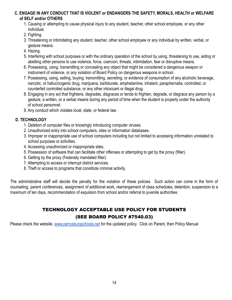#### **C. ENGAGE IN ANY CONDUCT THAT IS VIOLENT or ENDANGERS THE SAFETY, MORALS, HEALTH or WELFARE of SELF and/or OTHERS**

- 1. Causing or attempting to cause physical injury to any student, teacher, other school employee, or any other individual.
- 2. Fighting.
- 3. Threatening or intimidating any student, teacher, other school employee or any individual by written, verbal, or gesture means.
- 4. Hazing.
- 5. Interfering with school purposes or with the ordinary operation of the school by using, threatening to use, aiding or abetting other persons to use violence, force, coercion, threats, intimidation, fear or disruptive means.
- 6. Possessing, using, transmitting or concealing any object that might be considered a dangerous weapon or instrument of violence, or any violation of Board Policy on dangerous weapons in school.
- 7. Possessing, using, selling, buying, transmitting, secreting, or evidence of consumption of any alcoholic beverage, narcotic, or hallucinogenic drug, marijuana, barbiturate, amphetamine, inhalant, paraphernalia, controlled, or counterfeit controlled substance, or any other intoxicant or illegal drug.
- 8. Engaging in any act that frightens, degrades, disgraces or tends to frighten, degrade, or disgrace any person by a gesture, a written, or a verbal means during any period of time when the student is properly under the authority of school personnel.
- 9. Any conduct which violates local, state, or federal law.

#### **D. TECHNOLOGY**

- 1. Deletion of computer files or knowingly introducing computer viruses.
- 2. Unauthorized entry into school computers, sites or information databases.
- 3. Improper or inappropriate use of school computers including but not limited to accessing information unrelated to school purposes or activities.
- 4. Accessing unauthorized or inappropriate sites.
- 5. Possession of software that can facilitate other offenses or attempting to get by the proxy (filter).
- 6. Getting by the proxy (Federally mandated filter).
- 7. Attempting to access or interrupt district services.
- 8. Theft or access to programs that constitute criminal activity.

The administrative staff will decide the penalty for the violation of these policies. Such action can come in the form of counseling, parent conferences, assignment of additional work, rearrangement of class schedules, detention, suspension to a maximum of ten days, recommendation of expulsion from school and/or referral to juvenile authorities

#### TECHNOLOGY ACCEPTABLE USE POLICY FOR STUDENTS (SEE BOARD POLICY #7540.03)

Please check the website, [www.perrysburgschools.net](http://www.perrysburgschools.net) for the updated policy. Click on Parent, then Policy Manual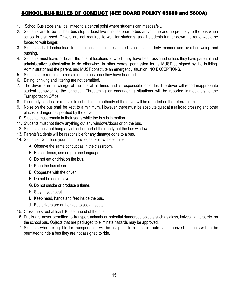#### SCHOOL BUS RULES OF CONDUCT (SEE BOARD POLICY #5600 and 5600A)

- 1. School Bus stops shall be limited to a central point where students can meet safely.
- 2. Students are to be at their bus stop at least five minutes prior to bus arrival time and go promptly to the bus when school is dismissed. Drivers are not required to wait for students, as all students further down the route would be forced to wait longer.
- 3. Students shall load/unload from the bus at their designated stop in an orderly manner and avoid crowding and pushing.
- 4. Students must leave or board the bus at locations to which they have been assigned unless they have parental and administrative authorization to do otherwise. In other words, permission forms MUST be signed by the building. Administrator and the parent, and MUST constitute an emergency situation. NO EXCEPTIONS.
- 5. Students are required to remain on the bus once they have boarded.
- 6. Eating, drinking and littering are not permitted.
- 7. The driver is in full charge of the bus at all times and is responsible for order. The driver will report inappropriate student behavior to the principal. Threatening or endangering situations will be reported immediately to the Transportation Office.
- 8. Disorderly conduct or refusals to submit to the authority of the driver will be reported on the referral form.
- 9. Noise on the bus shall be kept to a minimum. However, there must be absolute quiet at a railroad crossing and other places of danger as specified by the driver.
- 10. Students must remain in their seats while the bus is in motion.
- 11. Students must not throw anything out any windows/doors or on the bus.
- 12. Students must not hang any object or part of their body out the bus window.
- 13. Parents/students will be responsible for any damage done to a bus.
- 14. Students: Don't lose your riding privileges! Follow these rules:
	- A. Observe the same conduct as in the classroom.
	- B. Be courteous; use no profane language.
	- C. Do not eat or drink on the bus.
	- D. Keep the bus clean.
	- E. Cooperate with the driver.
	- F. Do not be destructive.
	- G. Do not smoke or produce a flame.
	- H. Stay in your seat.
	- I. Keep head, hands and feet inside the bus.
	- J. Bus drivers are authorized to assign seats.
- 15. Cross the street at least 10 feet ahead of the bus.
- 16. Pupils are never permitted to transport animals or potential dangerous objects such as glass, knives, lighters, etc. on the school bus. Objects that are packaged to eliminate hazards may be approved.
- 17. Students who are eligible for transportation will be assigned to a specific route. Unauthorized students will not be permitted to ride a bus they are not assigned to ride.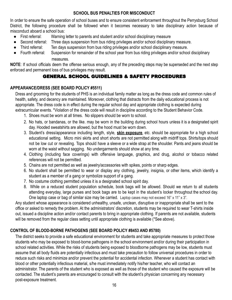#### **SCHOOL BUS PENALTIES FOR MISCONDUCT**

In order to ensure the safe operation of school buses and to ensure consistent enforcement throughout the Perrysburg School District, the following procedure shall be followed when it becomes necessary to take disciplinary action because of misconduct aboard a school bus:

- First referral: Warning letter to parents and student and/or school disciplinary measure
- Second referral: Three days suspension from bus riding privileges and/or school disciplinary measure.
- Third referral: Ten days suspension from bus riding privileges and/or school disciplinary measure.
- Fourth referral: Suspension for remainder of the school year from bus riding privileges and/or school disciplinary measures.

**NOTE**: If school officials deem the offense serious enough, any of the preceding steps may be superseded and the next step enforced and permanent loss of bus privileges may result.

#### GENERAL SCHOOL GUIDELINES & SAFETY PROCEDURES

#### **APPEARANCE/DRESS (SEE BOARD POLICY #5511)**

Dress and grooming for the students of PHS is an individual family matter as long as the dress code and common rules of health, safety, and decency are maintained. Moreover, clothing that distracts from the daily educational process is not appropriate. The dress code is in effect during the regular school day and appropriate clothing is expected during extracurricular events. \*Violation of the dress code will result in discipline according to the Student Behavior Code.

- 1. Shoes must be worn at all times. No slippers should be worn to school.
- 2. No hats, or bandanas, or the like. may be worn in the building during school hours unless it is a designated spirit day. Hooded sweatshirts are allowed, but the hood must be worn down.
- 3. Student's dress/appearance including length, style, **skin exposure**, etc. should be appropriate for a high school educational setting. Micro mini skirts and short shorts are not permitted along with midriff tops. Shirts/tops should not be low cut or revealing. Tops should have a sleeve or a wide strap at the shoulder. Pants and jeans should be worn at the waist without sagging. No undergarments should show at any time.
- 4. Clothing (including face coverings) with offensive language, graphics, and drug, alcohol or tobacco related references will not be permitted.
- 5. Chains are not permitted as well as jewelry/accessories with spikes, points or sharp edges.
- 6. No student shall be permitted to wear or display any clothing, jewelry, insignia, or other items, which identify a student as a member of a gang or symbolize support of a gang.
- 7. No costume clothing permitted unless it is a designated school spirit day.
- 8. While on a reduced student population schedule, book bags will be allowed. Should we return to all students attending everyday, large purses and book bags are to be kept in the student's locker throughout the school day. One laptop case or bag of similar size may be carried. Laptop cases may not exceed 16" x 11" x 3".

Any student whose appearance is considered unhealthy, unsafe, unclean, disruptive or inappropriate shall be sent to the office or asked to remedy the problem. At the administrators' discretion, students may be required to wear T-shirts inside out, issued a discipline action and/or contact parents to bring in appropriate clothing. If parents are not available, students will be removed from the regular class setting until appropriate clothing is available (\*See above).

#### **CONTROL OF BLOOD-BORNE PATHOGENS (SEE BOARD POLICY #8453 AND #5780)**

The district seeks to provide a safe educational environment for students and take appropriate measures to protect those students who may be exposed to blood-borne pathogens in the school environment and/or during their participation in school related activities. While the risks of students being exposed to bloodborne pathogens may be low, students must assume that all body fluids are potentially infectious and must take precaution to follow universal procedures in order to reduce such risks and minimize and/or prevent the potential for accidental infection. Whenever a student has contact with blood or other potentially infectious material, s/he must immediately notify his/her teacher, who will contact an administrator. The parents of the student who is exposed as well as those of the student who caused the exposure will be contacted. The student's parents are encouraged to consult with the student's physician concerning any necessary post-exposure treatment.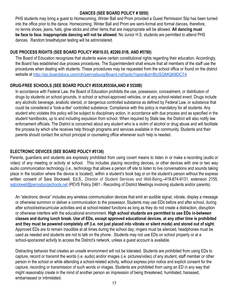#### **DANCES (SEE BOARD POLICY # 5850)**

PHS students may bring a guest to Homecoming, Winter Ball and Prom provided a Guest Permission Slip has been turned into the office prior to the dance. Homecoming, Winter Ball and Prom are semi-formal and formal dances, therefore, no tennis shoes, jeans, hats, glow sticks and other items that are inappropriate will be allowed. **All dancing must be face to face. Inappropriate dancing will not be allowed**. No Junior H.S. students are permitted to attend PHS dances. Random breathalyzer testing will be administered.

#### **DUE PROCESS RIGHTS (SEE BOARD POLICY #5610.03, #2260.01B, AND #5780)**

The Board of Education recognizes that students waive certain constitutional rights regarding their education. Accordingly, the Board has established due process procedures. The Superintendent shall ensure that all members of the staff use the procedures when dealing with students. These procedures may be requested from the school office or found on the district website at <http://go.boarddocs.com/oh/perrysburg/Board.nsf/goto?open&id=BUSQMQ69DC74>

#### **DRUG-FREE SCHOOLS (SEE BOARD POLICY #5530,#5530A,AND # 5530B)**

In accordance with Federal Law, the Board of Education prohibits the use, possession, concealment, or distribution of drugs by students on school grounds, in school or school-approved vehicles, or at any school-related event. Drugs include any alcoholic beverage, anabolic steroid, or dangerous controlled substance as defined by Federal Law, or substance that could be considered a "look-a-like" controlled substance. Compliance with this policy is mandatory for all students. Any student who violates this policy will be subject to disciplinary action, in accordance with due process and as specified in the student handbooks, up to and including expulsion from school. When required by State law, the District will also notify law enforcement officials. The District is concerned about any student who is a victim of alcohol or drug abuse and will facilitate the process by which s/he receives help through programs and services available in the community. Students and their parents should contact the school principal or counseling office whenever such help is needed.

#### **ELECTRONIC DEVICES (SEE BOARD POLICY #5136)**

Parents, guardians and students are expressly prohibited from using covert means to listen in or make a recording (audio or video) of any meeting or activity at school. This includes placing recording devices, or other devices with one or two way audio communication technology (i.e., technology that allows a person off site to listen to live conversations and sounds taking place in the location where the device is located), within a student's book bag or on the student's person without the express written consent of Sara Stockwell, Ed.S., Director of Student Services and Well-Being, -419-874-9131, extension 2155, [sstockwell@perrysburgschools.net](mailto:sstockwell@perrysburgschools.net) (PEVS Policy 2461 - Recording of District Meetings involving students and/or parents)

An "electronic device" includes any wireless communication devices that emit an audible signal, vibrate, display a message or otherwise summon or deliver a communication to the possessor. Students may use EDs before and after school, during after school/extracurricular activities and at school-related functions as long as they do not create a distraction, disruption or otherwise interfere with the educational environment. **High school students are permitted to use EDs in-between classes and during lunch break. Use of EDs, except approved educational devices, at any other time is prohibited and they must be powered completely off (i.e. not just placed into vibrate or silent mode) and stored out of sight.** Approved EDs are to remain inaudible at all times during the school day; ringers must be silenced, headphones must be used as needed and students are not to talk on the phone. Students may not use EDs on school property or at a school-sponsored activity to access the District's network, unless a guest account is available.

Distracting behavior that creates an unsafe environment will not be tolerated. Students are prohibited from using EDs to capture, record or transmit the words (i.e. audio) and/or images (i.e. pictures/video) of any student, staff member or other person in the school or while attending a school-related activity, without express prior notice and explicit consent for the capture, recording or transmission of such words or images. Students are prohibited from using an ED in any way that might reasonably create in the mind of another person an impression of being threatened, humiliated, harassed, embarrassed or intimidated.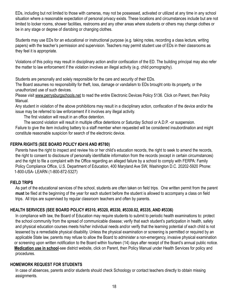EDs, including but not limited to those with cameras, may not be possessed, activated or utilized at any time in any school situation where a reasonable expectation of personal privacy exists. These locations and circumstances include but are not limited to locker rooms, shower facilities, restrooms and any other areas where students or others may change clothes or be in any stage or degree of disrobing or changing clothes.

Students may use EDs for an educational or instructional purpose (e.g. taking notes, recording a class lecture, writing papers) with the teacher's permission and supervision. Teachers may permit student use of EDs in their classrooms as they feel it is appropriate.

Violations of this policy may result in disciplinary action and/or confiscation of the ED. The building principal may also refer the matter to law enforcement if the violation involves an illegal activity (e.g. child pornography).

Students are personally and solely responsible for the care and security of their EDs.

The Board assumes no responsibility for theft, loss, damage or vandalism to EDs brought onto its property, or the unauthorized use of such devices.

Please visit www.perrysburgschools.net to read the entire Electronic Devices Policy 5136. Click on Parent, then Policy Manual.

Any student in violation of the above prohibitions may result in a disciplinary action, confiscation of the device and/or the issue may be referred to law enforcement if it involves any illegal activity.

The first violation will result in an office detention.

The second violation will result in multiple office detentions or Saturday School or A.D.P. -or suspension.

Failure to give the item including battery to a staff member when requested will be considered insubordination and might constitute reasonable suspicion for search of the electronic device.

#### **FERPA RIGHTS (SEE BOARD POLICY #2416 AND #5780)**

Parents have the right to inspect and review his or her child's education records, the right to seek to amend the records, the right to consent to disclosure of personally identifiable information from the records (except in certain circumstances) and the right to file a complaint with the Office regarding an alleged failure by a school to comply with FERPA: Family Policy Compliance Office, U.S. Department of Education, 400 Maryland Ave SW, Washington D.C. 20202-5920 Phone: 1-800-USA- LEARN (1-800-872-5327)

#### **FIELD TRIPS**

As part of the educational services of the school, students are often taken on field trips. One written permit from the parent **must** be filed at the beginning of the year for each student before the student is allowed to accompany a class on field trips. All trips are supervised by regular classroom teachers and often by parents.

#### **HEALTH SERVICES (SEE BOARD POLICY #5310, #5320, #5330, #5330.02, #5335, AND #5336)**

In compliance with law, the Board of Education may require students to submit to periodic health examinations to: protect the school community from the spread of communicable disease; verify that each student's participation in health, safety and physical education courses meets his/her individual needs and/or verify that the learning potential of each child is not lessened by a remediable physical disability. Unless the physical examination or screening is permitted or required by an applicable State law, parents may refuse to allow the Board to administer a non-emergency, invasive physical examination or screening upon written notification to the Board within fourteen (14) days after receipt of the Board's annual public notice. **Medication use in school**-see district website, click on Parent, then Policy Manual under Health Services for policy and procedures.

#### **HOMEWORK REQUEST FOR STUDENTS**

In case of absences, parents and/or students should check Schoology or contact teachers directly to obtain missing assignments.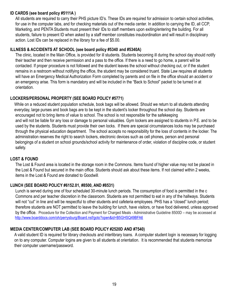#### **ID CARDS (see board policy #5111A )**

All students are required to carry their PHS picture ID's. These IDs are required for admission to certain school activities, for use in the computer labs, and for checking materials out of the media center. In addition to carrying the ID, all CCP, Marketing, and PENTA Students must present their IDs to staff members upon exiting/entering the building. For all students, failure to present ID when asked by a staff member constitutes insubordination and will result in disciplinary action. Lost IDs can be replaced in the library for a fee of \$5.00.

#### **ILLNESS & ACCIDENTS AT SCHOOL (see board policy #5340 and #5340A)**

The clinic, located in the Main Office, is provided for ill students. Students becoming ill during the school day should notify their teacher and then receive permission and a pass to the office. If there is a need to go home, a parent will be contacted. If proper procedure is not followed and the student leaves the school without checking out, or if the student remains in a restroom without notifying the office, the student may be considered truant. State Law requires all students will have an Emergency Medical Authorization Form completed by parents and on file in the office should an accident or an emergency arise. This form is mandatory and will be included in the "Back to School" packet to be turned in at orientation.

#### **LOCKERS/PERSONAL PROPERTY (SEE BOARD POLICY #5771)**

While on a reduced student population schedule, book bags will be allowed. Should we return to all students attending everyday, large purses and book bags are to be kept in the student's locker throughout the school day. Students are encouraged not to bring items of value to school. The school is not responsible for the safekeeping and will not be liable for any loss or damage to personal valuables. Gym lockers are assigned to students in P.E. and to be used by the students. Students must provide their own locks. If there are special circumstances locks may be purchased through the physical education department. The school accepts no responsibility for the loss of contents in the locker. The administration reserves the right to search lockers, electronic devices such as cell phones, person and personal belongings of a student on school grounds/school activity for maintenance of order, violation of discipline code, or student safety.

#### **LOST & FOUND**

The Lost & Found area is located in the storage room in the Commons. Items found of higher value may not be placed in the Lost & Found but secured in the main office. Students should ask about these items. If not claimed within 2 weeks, items in the Lost & Found are donated to Goodwill.

#### **LUNCH (SEE BOARD POLICY #6152.01, #8500, AND #8531)**

Lunch is served during one of four scheduled 30-minute lunch periods. The consumption of food is permitted in the c Commons and per teacher discretion in the classroom. Students are not permitted to eat in any of the hallways. Students will not "cut" in line and will be respectful to other students and cafeteria employees. PHS has a "closed" lunch period; therefore students are NOT permitted to leave the building for lunch, have visitors, or have food delivered, unless approved by the office. Procedure for the Collection and Payment for Charged Meals - Administrative Guideline 8500D – may be accessed at <http://www.boarddocs.com/oh/perrysburg/Board.nsf/goto?open&id=B5GHSQ49BFA6>

#### **MEDIA CENTER/COMPUTER LAB (SEE BOARD POLICY #2520D AND #7540)**

A valid student ID is required for library checkouts and interlibrary loans. A computer student login is necessary for logging on to any computer. Computer logins are given to all students at orientation. It is recommended that students memorize their computer username/password.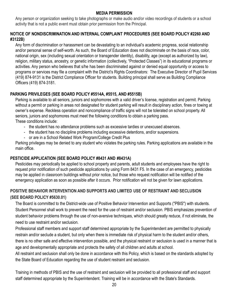#### **MEDIA PERMISSION**

Any person or organization seeking to take photographs or make audio and/or video recordings of students or a school activity that is not a public event must obtain prior permission from the Principal.

#### **NOTICE OF NONDISCRIMINATION AND INTERNAL COMPLAINT PROCEDURES (SEE BOARD POLICY #2260 AND #3122B)**

Any form of discrimination or harassment can be devastating to an individual's academic progress, social relationship and/or personal sense of self-worth. As such, the Board of Education does not discriminate on the basis of race, color, national origin, sex (including sexual orientation or transgender identity), disability, age (except as authorized by law), religion, military status, ancestry, or genetic information (collectively, "Protected Classes") in its educational programs or activities. Any person who believes that s/he has been discriminated against or denied equal opportunity or access to programs or services may file a complaint with the District's Rights Coordinators: The Executive Director of Pupil Services (419) 874-9131 is the District Compliance Officer for students. Building principal shall serve as Building Compliance Officers (419) 874-3181.

#### **PARKING PRIVILEGES (SEE BOARD POLICY #5514A, #5515, AND #5515B)**

Parking is available to all seniors, juniors and sophomores with a valid driver's license, registration and permit. Parking without a permit or parking in areas not designated for student parking will result in disciplinary action, fines or towing at owner's expense. Reckless operation and noncompliance of traffic signs will not be tolerated on school property. All seniors, juniors and sophomores must meet the following conditions to obtain a parking pass.

These conditions include:

- the student has no attendance problems such as excessive tardies or unexcused absences.
- the student has no discipline problems including excessive detentions, and/or suspensions.
- or are in a School Related Work Program/College Credit Plus

Parking privileges may be denied to any student who violates the parking rules. Parking applications are available in the main office.

#### **PESTICIDE APPLICATION (SEE BOARD POLICY #8431 AND #8431A)**

Pesticides may periodically be applied to school property and parents, adult students and employees have the right to request prior notification of such pesticide applications by using Form 8431 F5. In the case of an emergency, pesticides may be applied in classroom buildings without prior notice, but those who request notification will be notified of the emergency application as soon as possible after it occurs. Prior notification will not be given for lawn applications.

#### **POSITIVE BEHAVIOR INTERVENTION AND SUPPORTS AND LIMITED USE OF RESTRAINT AND SECLUSION (SEE BOARD POLICY #5630.01)**

The Board is committed to the District-wide use of Positive Behavior Intervention and Supports ("PBIS") with students. Student Personnel shall work to prevent the need for the use of restraint and/or seclusion. PBIS emphasizes prevention of student behavior problems through the use of non-aversive techniques, which should greatly reduce, if not eliminate, the need to use restraint and/or seclusion.

Professional staff members and support staff determined appropriate by the Superintendent are permitted to physically restrain and/or seclude a student, but only when there is immediate risk of physical harm to the student and/or others, there is no other safe and effective intervention possible, and the physical restraint or seclusion is used in a manner that is age and developmentally appropriate and protects the safety of all children and adults at school.

All restraint and seclusion shall only be done in accordance with this Policy, which is based on the standards adopted by the State Board of Education regarding the use of student restraint and seclusion.

Training in methods of PBIS and the use of restraint and seclusion will be provided to all professional staff and support staff determined appropriate by the Superintendent. Training will be in accordance with the State's Standards.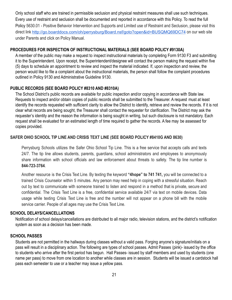Only school staff who are trained in permissible seclusion and physical restraint measures shall use such techniques. Every use of restraint and seclusion shall be documented and reported in accordance with this Policy. To read the full Policy 5630.01 - Positive Behavior Intervention and Supports and Limited use of Restraint and Seclusion, please visit this direct link <http://go.boarddocs.com/oh/perrysburg/Board.nsf/goto?open&id=BUSQMQ69DC74> on our web site under Parents and click on Policy Manual.

#### **PROCEDURES FOR INSPECTION OF INSTRUCTIONAL MATERIALS (SEE BOARD POLICY #9130A)**

A member of the public may make a request to inspect instructional materials by completing Form 9130 F3 and submitting it to the Superintendent. Upon receipt, the Superintendent/designee will contact the person making the request within five (5) days to schedule an appointment to review and inspect the material indicated. If, upon inspection and review, the person would like to file a complaint about the instructional materials, the person shall follow the complaint procedures outlined in Policy 9130 and Administrative Guideline 9130.

#### **PUBLIC RECORDS (SEE BOARD POLICY #8310 AND #8310A)**

The School District's public records are available for public inspection and/or copying in accordance with State law. Requests to inspect and/or obtain copies of public records shall be submitted to the Treasurer. A request must at least identify the records requested with sufficient clarity to allow the District to identify, retrieve and review the records. If it is not clear what records are being sought, the Treasurer shall contact the requester for clarification. The District may ask the requester's identity and the reason the information is being sought in writing, but such disclosure is not mandatory. Each request shall be evaluated for an estimated length of time required to gather the records. A fee may be assessed for copies provided.

#### **SAFER OHIO SCHOOL TIP LINE AND CRISIS TEXT LINE (SEE BOARD POLICY #8410G AND 8630)**

Perrysburg Schools utilizes the Safer Ohio School Tip Line. This is a free service that accepts calls and texts 24/7. The tip line allows students, parents, guardians, school administrators and employees to anonymously share information with school officials and law enforcement about threats to safety. The tip line number is **844-723-3764**.

Another resource is the Crisis Text Line. By texting the keyword **"4hope" to 741 741,** you will be connected to a trained Crisis Counselor within 5 minutes. Any person may need help in coping with a stressful situation. Reach out by text to communicate with someone trained to listen and respond in a method that is private, secure and confidential. The Crisis Text Line is a free, confidential service available 24/7 via text on mobile devices. Data usage while texting Crisis Text Line is free and the number will not appear on a phone bill with the mobile service carrier. People of all ages may use the Crisis Text Line.

#### **SCHOOL DELAYS/CANCELLATIONS**

Notification of school delays/cancellations are distributed to all major radio, television stations, and the district's notification system as soon as a decision has been made.

#### **SCHOOL PASSES**

Students are not permitted in the hallways during classes without a valid pass. Forging anyone's signature/initials on a pass will result in a disciplinary action. The following are types of school passes. Admit Passes (pink)- issued by the office to students who arrive after the first period has begun. Hall Passes- issued by staff members and used by students (one name per pass) to move from one location to another while classes are in session. Students will be issued a cardstock hall pass each semester to use or a teacher may issue a yellow pass.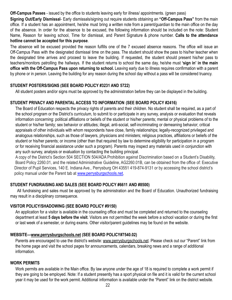**Off-Campus Passes** - issued by the office to students leaving early for illness/ appointments. (green pass)

**Signing Out/Early Dismissal**- Early dismissals/signing out require students obtaining an **"Off-Campus Pass"** from the main office. If a student has an appointment, he/she must bring a written note from a parent/guardian to the main office on the day of the absence. In order for the absence to be excused, the following information should be included on the note: Student Name, Reason for leaving school, Time for dismissal, and Parent Signature & phone number. **Calls to the attendance hotline cannot be accepted for this purpose**.

The absence will be excused provided the reason fulfills one of the 7 excused absence reasons. The office will issue an Off-Campus Pass with the designated dismissal time on the pass. The student should show the pass to his/her teacher when the designated time arrives and proceed to leave the building. If requested, the student should present his/her pass to teachers/monitors patrolling the hallways. If the student returns to school the same day, he/she must **'sign in' in the main office with the Off-Campus Pass upon returning to school.** Leaving early due to illness requires confirmation with a parent by phone or in person. Leaving the building for any reason during the school day without a pass will be considered truancy.

#### **STUDENT POSTERS/SIGNS (SEE BOARD POLICY #3231 AND 5722)**

All student posters and/or signs must be approved by the administration before they can be displayed in the building.

#### **STUDENT PRIVACY AND PARENTAL ACCESS TO INFORMATION (SEE BOARD POLICY #2416)**

The Board of Education respects the privacy rights of parents and their children. No student shall be required, as a part of the school program or the District's curriculum, to submit to or participate in any survey, analysis or evaluation that reveals information concerning: political affiliations or beliefs of the student or his/her parents; mental or physical problems of to the student or his/her family; sex behavior or attitudes; illegal, anti-social, self-incriminating or demeaning behavior; critical appraisals of other individuals with whom respondents have close, family relationships; legally-recognized privileged and analogous relationships, such as those of lawyers, physicians and ministers; religious practices, affiliations or beliefs of the student or his/her parents; or income (other than that required by law to determine eligibility for participation in a program or for receiving financial assistance under such a program). Parents may inspect any materials used in conjunction with any such survey, analysis or evaluation by contacting the building principal.

A copy of the District's Section 504 SECTION 504/ADA Prohibition against Discrimination based on a Student's Disability, Board Policy 2260.01, and the related Administrative Guideline, AG2260.01B, can be obtained from the office of: Executive Director of Pupil Services, 140 E. Indiana Ave., Perrysburg OH 43551 419-874-9131 or by accessing the school district's policy manual under the Parent tab at [www.perrysburgschools.net.](http://www.perrysburgschools.net/)

#### **STUDENT FUNDRAISING AND SALES (SEE BOARD POLICY #6611 AND #8500)**

All fundraising and sales must be approved by the administration and the Board of Education. Unauthorized fundraising may result in a disciplinary consequence.

#### **VISITOR POLICY/SHADOWING (SEE BOARD POLICY #9150)**

An application for a visitor is available in the counseling office and must be completed and returned to the counseling department at least **5 days before the visit**. Visitors are not permitted the week before a school vacation or during the first or last week of a semester, or during exams. Other visitor/parent guidelines may be found on the website.

#### **WEBSITE—www.perrysburgschools.net (SEE BOARD POLICY#7540.02)**

Parents are encouraged to use the district's website: www.perrysburgschools.net. Please check out our "Parent" link from the home page and visit the school pages for announcements, calendars, breaking news and a range of additional information.

#### **WORK PERMITS**

Work permits are available in the Main office. By law anyone under the age of 18 is required to complete a work permit if they are going to be employed. Note: If a student presently has a sport physical on file and it is valid for the current school year it may be used for the work permit. Additional information is available under the "Parent" link on the district website.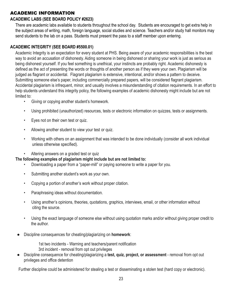#### ACADEMIC INFORMATION

#### **ACADEMIC LABS (SEE BOARD POLICY #2623)**

There are academic labs available to students throughout the school day. Students are encouraged to get extra help in the subject areas of writing, math, foreign language, social studies and science. Teachers and/or study hall monitors may send students to the lab on a pass. Students must present the pass to a staff member upon entering.

#### **ACADEMIC INTEGRITY (SEE BOARD #5500.01)**

Academic Integrity is an expectation for every student at PHS. Being aware of your academic responsibilities is the best way to avoid an accusation of dishonesty. Aiding someone in being dishonest or sharing your work is just as serious as being dishonest yourself. If you feel something is unethical, your instincts are probably right. Academic dishonesty is defined as the act of presenting the words or thoughts of another person as if they were your own. Plagiarism will be judged as flagrant or accidental. Flagrant plagiarism is extensive, intentional, and/or shows a pattern to deceive. Submitting someone else's paper, including commercially prepared papers, will be considered flagrant plagiarism. Accidental plagiarism is infrequent, minor, and usually involves a misunderstanding of citation requirements. In an effort to help students understand this integrity policy, the following examples of academic dishonesty might include but are not limited to:

- Giving or copying another student's homework.
- Using prohibited (unauthorized) resources, tests or electronic information on quizzes, tests or assignments.
- Eyes not on their own test or quiz.
- Allowing another student to view your test or quiz.
- Working with others on an assignment that was intended to be done individually (consider all work individual unless otherwise specified).
- Altering answers on a graded test or quiz

#### **The following examples of plagiarism might include but are not limited to:**

- Downloading a paper from a "paper-mill" or paying someone to write a paper for you.
- Submitting another student's work as your own.
- Copying a portion of another's work without proper citation.
- Paraphrasing ideas without documentation.
- Using another's opinions, theories, quotations, graphics, interviews, email, or other information without citing the source.
- Using the exact language of someone else without using quotation marks and/or without giving proper credit to the author.
- Discipline consequences for cheating/plagiarizing on **homework**:

1st two incidents - Warning and teachers/parent notification

3rd incident - removal from opt out privileges

Discipline consequence for cheating/plagiarizing a **test, quiz, project, or assessment** - removal from opt out privileges and office detention

Further discipline could be administered for stealing a test or disseminating a stolen test (hard copy or electronic).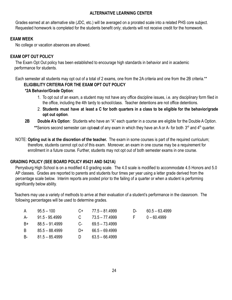#### **ALTERNATIVE LEARNING CENTER**

Grades earned at an alternative site (JDC, etc.) will be averaged on a prorated scale into a related PHS core subject. Requested homework is completed for the students benefit only; students will not receive credit for the homework.

#### **EXAM WEEK**

No college or vacation absences are allowed.

#### **EXAM OPT OUT POLICY**

The Exam Opt Out policy has been established to encourage high standards in behavior and in academic performance for students.

Each semester all students may opt out of a total of 2 exams, one from the 2A criteria and one from the 2B criteria.\*\*

#### **ELIGIBILITY CRITERIA FOR THE EXAM OPT OUT POLICY**

#### **\*2A Behavior/Grade Option**:

- 1. To opt out of an exam, a student may not have any office discipline issues, i.e. any disciplinary form filed in the office, including the 4th tardy to school/class. Teacher detentions are not office detentions.
- 2. Students must have at least a C for both quarters in a class to be eligible for the behavior/grade **opt out option**.
- **2B Double A's Option**: Students who have an "A" each quarter in a course are eligible for the Double A Option. \*\*Seniors second semester can opt-out of any exam in which they have an A or A- for both 3<sup>rd</sup> and 4<sup>th</sup> quarter.
- NOTE: **Opting out is at the discretion of the teacher.** The exam in some courses is part of the required curriculum; therefore, students cannot opt out of this exam. Moreover, an exam in one course may be a requirement for enrollment in a future course. Further, students may not opt out of both semester exams in one course.

#### **GRADING POLICY (SEE BOARD POLICY #5421 AND 5421A)**

Perrysburg High School is on a modified 4.0 grading scale. The 4.0 scale is modified to accommodate 4.5 Honors and 5.0 AP classes. Grades are reported to parents and students four times per year using a letter grade derived from the percentage scale below. Interim reports are posted prior to the failing of a quarter or when a student is performing significantly below ability.

Teachers may use a variety of methods to arrive at their evaluation of a student's performance in the classroom. The following percentages will be used to determine grades.

| A    | $95.5 - 100$   |                 | $C_{+}$ 77.5 - 81.4999 | $\Box$ | 60.5 – 63.4999 |
|------|----------------|-----------------|------------------------|--------|----------------|
| A- 1 | 91.5 - 95.4999 |                 | $C = 73.5 - 77.4999$   | E.     | 0 – 60.4999    |
| $B+$ | 88.5 – 91.4999 | $C$ - $C$ - $C$ | 69.5 – 73.4999         |        |                |
| B.   | 85.5 – 88.4999 | $\Box$ +        | 66.5 – 69.4999         |        |                |
| B-   | 81.5 – 85.4999 | D.              | $63.5 - 66.4999$       |        |                |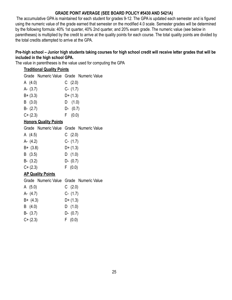#### **GRADE POINT AVERAGE (SEE BOARD POLICY #5430 AND 5421A)**

The accumulative GPA is maintained for each student for grades 9-12. The GPA is updated each semester and is figured using the numeric value of the grade earned that semester on the modified 4.0 scale. Semester grades will be determined by the following formula: 40% 1st quarter, 40% 2nd quarter, and 20% exam grade. The numeric value (see below in parentheses) is multiplied by the credit to arrive at the quality points for each course. The total quality points are divided by the total credits attempted to arrive at the GPA.

#### **Pre-high school – Junior high students taking courses for high school credit will receive letter grades that will be included in the high school GPA.**

The value in parentheses is the value used for computing the GPA

#### **Traditional Quality Points**

|           |           | Grade Numeric Value Grade Numeric Value |
|-----------|-----------|-----------------------------------------|
| A $(4.0)$ | C $(2.0)$ |                                         |

| וט.דו ה     | <b>U (4.V)</b> |
|-------------|----------------|
| A- (3.7)    | $C - (1.7)$    |
| $B + (3.3)$ | $D+ (1.3)$     |
| B(3.0)      | D(1.0)         |
| $B - (2.7)$ | $D - (0.7)$    |
| $C+(2.3)$   | F(0.0)         |
|             |                |

#### **Honors Quality Points**

|                   | Grade Numeric Value Grade Numeric Value |
|-------------------|-----------------------------------------|
| A $(4.5)$         | C(2.0)                                  |
| A- $(4.2)$        | $C - (1.7)$                             |
| $B+ (3.8)$        | $D+ (1.3)$                              |
| B(3.5)            | D(1.0)                                  |
| $B - (3.2)$       | $D - (0.7)$                             |
| $C+(2.3)$         | F(0.0)                                  |
| AD Ouglity Dointe |                                         |

#### **AP Quality Points**

| A $(5.0)$   | C(2.0)      |
|-------------|-------------|
| A- $(4.7)$  | $C - (1.7)$ |
| $B+ (4.3)$  | $D+ (1.3)$  |
| B(4.0)      | D(1.0)      |
| $B - (3.7)$ | $D - (0.7)$ |
| $C+(2.3)$   | F(0.0)      |
|             |             |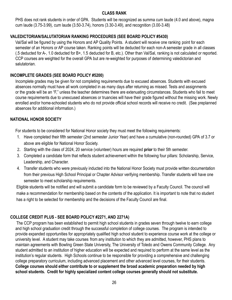#### **CLASS RANK**

PHS does not rank students in order of GPA. Students will be recognized as summa cum laude (4.0 and above), magna cum laude (3.75-3.99), cum laude (3.50-3.74), honors (3.30-3.49), and recognition (3.00-3.48)

#### **VALEDICTORIAN/SALUTATORIAN RANKING PROCEDURES (SEE BOARD POLICY #5430)**

Val/Sal will be figured by using the Honors and AP Quality Points. A student will receive one ranking point for each semester of an Honors or AP course taken. Ranking points will be deducted for each non-A semester grade in all classes (.5 deducted for A-, 1.0 deducted for B+, 1.5 deducted for B, etc.). Other than Val/Sal, ranking is not calculated or reported. CCP courses are weighted for the overall GPA but are re-weighted for purposes of determining valedictorian and salutatorian.

#### **INCOMPLETE GRADES (SEE BOARD POLICY #5200)**

Incomplete grades may be given for not completing requirements due to excused absences. Students with excused absences normally must have all work completed in as many days after returning as missed. Tests and assignments or the grade will be an "F," unless the teacher determines there are extenuating circumstances. Students who fail to meet course requirements due to unexcused absences or truancies will have their grade figured without the missing work. Newly enrolled and/or home-schooled students who do not provide official school records will receive no credit. (See preplanned absences for additional information.)

#### **NATIONAL HONOR SOCIETY**

For students to be considered for National Honor society they must meet the following requirements:

- 1. Have completed their fifth semester (2nd semester Junior Year) and have a cumulative (non-rounded) GPA of 3.7 or above are eligible for National Honor Society.
- 2. Starting with the class of 2024, 20 service (volunteer) hours are required **prior** to their 5th semester.
- 3. Completed a candidate form that reflects student achievement within the following four pillars: Scholarship, Service, Leadership, and Character.
- 4. Transfer students who were previously inducted into the National Honor Society must provide written documentation from their previous High School Principal or Chapter Advisor verifying membership. Transfer students will have one semester to meet scholarship requirements.

Eligible students will be notified and will submit a candidate form to be reviewed by a Faculty Council. The council will make a recommendation for membership based on the contents of the application. It is important to note that no student has a right to be selected for membership and the decisions of the Faculty Council are final.

#### **COLLEGE CREDIT PLUS - SEE BOARD POLICY #2271, AND 2271A)**

The CCP program has been established to permit high school students in grades seven through twelve to earn college and high school graduation credit through the successful completion of college courses. The program is intended to provide expanded opportunities for appropriately qualified high school student to experience course work at the college or university level. A student may take courses from any institution to which they are admitted, however, PHS plans to maintain agreements with Bowling Green State University, The University of Toledo and Owens Community College. Any student admitted to an institution of higher education will be expected and required to perform at the same level as the institution's regular students. High Schools continue to be responsible for providing a comprehensive and challenging college preparatory curriculum, including advanced placement and other advanced level courses, for their students. **College courses should either contribute to or supplement the broad academic preparation needed by high school students. Credit for highly specialized content college courses generally should not substitute.**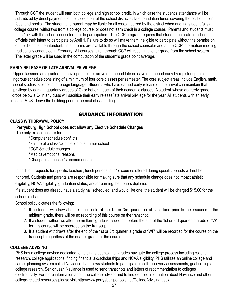Through CCP the student will earn both college and high school credit, in which case the student's attendance will be subsidized by direct payments to the college out of the school district's state foundation funds covering the cost of tuition, fees, and books. The student and parent **may** be liable for all costs incurred by the district when and if a student fails a college course, withdraws from a college course, or does not earn credit in a college course. Parents and students must meet/talk with the school counselor prior to participation. The CCP program requires that students indicate to school officials their intent to participate by April 1. Failure to do so will make them ineligible to participate without the permission of the district superintendent. Intent forms are available through the school counselor and at the CCP information meeting traditionally conducted in February. All courses taken through CCP will result in a letter grade from the school system. The letter grade will be used in the computation of the student's grade point average.

#### **EARLY RELEASE OR LATE ARRIVAL PRIVILEGE**

Upperclassmen are granted the privilege to either arrive one period late or leave one period early by registering fo a rigorous schedule consisting of a minimum of four core classes per semester. The core subject areas include English, math, social studies, science and foreign language. Students who have earned early release or late arrival can maintain that privilege by earning quarterly grades of C- or better in each of their academic classes. A student whose quarterly grade drops below a C- in any class will sacrifice their early release/late arrival privilege for the year. All students with an early release MUST leave the building prior to the next class starting.

#### GUIDANCE INFORMATION

#### **CLASS WITHDRAWAL POLICY**

#### **Perrysburg High School does not allow any Elective Schedule Changes**

The only exceptions are for:

\*Computer schedule conflicts

\*Failure of a class/Completion of summer school

\*CCP Schedule changes

\*Medical/emotional reasons

\*Change in a teacher's recommendation

In addition, requests for specific teachers, lunch periods, and/or courses offered during specific periods will not be honored. Students and parents are responsible for making sure that any schedule change does not impact athletic eligibility, NCAA eligibility, graduation status, and/or earning the honors diploma.

If a student does not already have a study hall scheduled, and would like one, the student will be charged \$15.00 for the schedule change.

School policy dictates the following:

- 1. If a student withdraws before the middle of the 1st or 3rd quarter, or at such time prior to the issuance of the midterm grade, there will be no recording of this course on the transcript.
- 2. If a student withdraws after the midterm grade is issued but before the end of the 1st or 3rd quarter, a grade of "W" for this course will be recorded on the transcript.
- 3. If a student withdraws after the end of the 1st or 3rd quarter, a grade of "WF" will be recorded for the course on the transcript, regardless of the quarter grade for the course.

#### **COLLEGE ADVISING**

PHS has a college advisor dedicated to helping students in all grades navigate the college process including college research, college applications, finding financial aid/scholarships and NCAA eligibility. PHS utilizes an online college and career planning system called Naviance that allows students to participate in self-discovery assessments, goal-setting and college research. Senior year, Naviance is used to send transcripts and letters of recommendation to colleges electronically. For more information about the college advisor and to find detailed information about Naviance and other college-related resources please visit <http://www.perrysburgschools.net/CollegeAdvising.aspx>.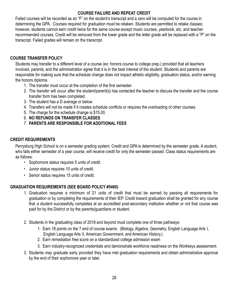#### **COURSE FAILURE AND REPEAT CREDIT**

Failed courses will be recorded as an "F" on the student's transcript and a zero will be computed for the course in determining the GPA. Courses required for graduation must be retaken. Students are permitted to retake classes; however, students cannot earn credit twice for the same course except music courses, yearbook, etc. and teacher recommended courses. Credit will be removed from the lower grade and the letter grade will be replaced with a "P" on the transcript. Failed grades will remain on the transcript.

#### **COURSE TRANSFER POLICY**

Students may transfer to a different level of a course (ex: honors course to college prep.) provided that all teachers involved, parents, and the administration agree that it is in the best interest of the student. Students and parents are responsible for making sure that the schedule change does not impact athletic eligibility, graduation status, and/or earning the honors diploma.

- 1. The transfer must occur at the completion of the first semester.
- 2. The transfer will occur after the student/parent(s) has contacted the teacher to discuss the transfer and the course transfer form has been completed.
- 3. The student has a D average or below.
- 4. Transfers will not be made if it creates schedule conflicts or requires the overloading of other courses.
- 5. The charge for the schedule change is \$15.00.
- 6. **NO REFUNDS ON TRANSFER CLASSES**
- 7. **PARENTS ARE RESPONSIBLE FOR ADDITIONAL FEES**

#### **CREDIT REQUIREMENTS**

Perrysburg High School is on a semester grading system. Credit and GPA is determined by the semester grade. A student, who fails either semester of a year course, will receive credit for only the semester passed. Class status requirements are as follows:

- Sophomore status requires 5 units of credit.
- Junior status requires 10 units of credit.
- Senior status requires 15 units of credit.

#### **GRADUATION REQUIREMENTS (SEE BOARD POLICY #5460)**

- 1. Graduation requires a minimum of 21 units of credit that must be earned by passing all requirements for graduation or by completing the requirements of their IEP. Credit toward graduation shall be granted for any course that a student successfully completes at an accredited post-secondary institution whether or not that course was paid for by the District or by the parents/guardians or student.
- 2. Students in the graduating class of 2018 and beyond must complete one of three pathways:
	- 1. Earn 18 points on the 7 end of course exams. (Biology, Algebra, Geometry, English Language Arts I, English Language Arts II, American Government, and American History.)
	- 2. Earn remediation free score on a standardized college admission exam
	- 3. Earn industry-recognized credentials and demonstrate workforce readiness on the Workkeys assessment.
- 3. Students may graduate early provided they have met graduation requirements and obtain administrative approval by the end of their sophomore year or later.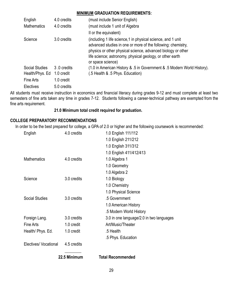#### **MINIMUM GRADUATION REQUIREMENTS:**

| English               | 4.0 credits | (must include Senior English)                                           |
|-----------------------|-------------|-------------------------------------------------------------------------|
| <b>Mathematics</b>    | 4.0 credits | (must include 1 unit of Algebra                                         |
|                       |             | Il or the equivalent)                                                   |
| Science               | 3.0 credits | (including 1 life science, 1 in physical science, and 1 unit            |
|                       |             | advanced studies in one or more of the following: chemistry,            |
|                       |             | physics or other physical science, advanced biology or other            |
|                       |             | life science; astronomy, physical geology, or other earth               |
|                       |             | or space science)                                                       |
| <b>Social Studies</b> | 3.0 credits | (1.0 in American History & .5 in Government & .5 Modern World History). |
| Health/Phys. Ed       | 1.0 credit  | .5 Health & .5 Phys. Education)                                         |
| Fine Arts             | 1.0 credit  |                                                                         |
| Electives             | 5.0 credits |                                                                         |

All students must receive instruction in economics and financial literacy during grades 9-12 and must complete at least two semesters of fine arts taken any time in grades 7-12. Students following a career-technical pathway are exempted from the fine arts requirement.

#### **21.0 Minimum total credit required for graduation.**

#### **COLLEGE PREPARATORY RECOMMENDATIONS**

In order to be the best prepared for college, a GPA of 2.0 or higher and the following coursework is recommended:

| 22.5 Minimum          |             | <b>Total Recommended</b>                 |
|-----------------------|-------------|------------------------------------------|
| Electives/ Vocational | 4.5 credits |                                          |
|                       |             | .5 Phys. Education                       |
| Health/ Phys. Ed.     | 1.0 credit  | .5 Health                                |
| Fine Arts             | 1.0 credit  | Art/Music/Theater                        |
| Foreign Lang.         | 3.0 credits | 3.0 in one language/2.0 in two languages |
|                       |             | .5 Modern World History                  |
|                       |             | 1.0 American History                     |
| <b>Social Studies</b> | 3.0 credits | .5 Government                            |
|                       |             | 1.0 Physical Science                     |
|                       |             | 1.0 Chemistry                            |
| Science               | 3.0 credits | 1.0 Biology                              |
|                       |             | 1.0 Algebra 2                            |
|                       |             | 1.0 Geometry                             |
| <b>Mathematics</b>    | 4.0 credits | 1.0 Algebra 1                            |
|                       |             | 1.0 English 411/412/413                  |
|                       |             | 1.0 English 311/312                      |
|                       |             | 1.0 English 211/212                      |
| English               | 4.0 credits | 1.0 English 111/112                      |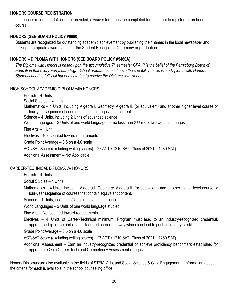#### **HONORS COURSE REGISTRATION**

If a teacher recommendation is not provided, a waiver form must be completed for a student to register for an honors course.

#### **HONORS (SEE BOARD POLICY #6680)**

Students are recognized for outstanding academic achievement by publishing their names in the local newspaper and making appropriate awards at either the Student Recognition Ceremony or graduation.

#### **HONORS – DIPLOMA WITH HONORS (SEE BOARD POLICY #5460A)**

*The Diploma with Honors is based upon the accumulative* 7<sup>th</sup> semester GPA. It is the belief of the Perrysburg Board of *Education that every Perrysburg High School graduate should have the capability to receive a Diploma with Honors. Students need to fulfill all but one criterion to receive the Diploma with Honors.*

#### HIGH SCHOOL ACADEMIC DIPLOMA with HONORS:

English – 4 Units Social Studies – 4 Units Mathematics – 4 Units, including Algebra I, Geometry, Algebra II, (or equivalent) and another higher level course or four-year sequence of courses that contain equivalent content. Science – 4 Units, including 2 Units of advanced science World Languages – 3 Units of one world language, or no less than 2 Units of two world languages Fine Arts – 1 Unit Electives – Not counted toward requirements Grade Point Average – 3.5 on a 4.0 scale ACT/SAT Score (excluding writing scores) – 27 ACT / 1210 SAT (Class of 2021 – 1280 SAT)

Additional Assessment – Not Applicable

#### CAREER-TECHNICAL DIPLOMA W/ HONORS:

English – 4 Units

Social Studies – 4 Units

Mathematics – 4 Units, including Algebra I, Geometry, Algebra II, (or equivalent) and another higher level course or four-year sequence of courses that contain equivalent content.

Science – 4 Units, including 2 Units of advanced science

World Languages – 2 Units of one world language studied

Fine Arts – Not counted toward requirements

Electives – 4 Units of Career-Technical minimum. Program must lead to an industry-recognized credential, apprenticeship, or be part of an articulated career pathway which can lead to post-secondary credit.

Grade Point Average – 3.5 on a 4.0 scale

ACT/SAT Score (excluding writing scores) – 27 ACT / 1210 SAT (Class of 2021 – 1280 SAT)

Additional Assessment – Earn an industry-recognized credential or achieve proficiency benchmark established for appropriate Ohio Career-Technical Competency Assessment or equivalent

Honors Diplomas are also available in the fields of STEM, Arts, and Social Science & Civic Engagement. Information about the criteria for each is available in the school counseling office.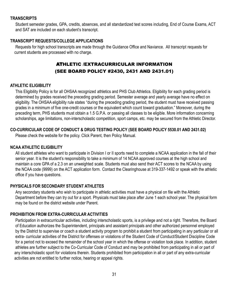#### **TRANSCRIPTS**

Student semester grades, GPA, credits, absences, and all standardized test scores including, End of Course Exams, ACT and SAT are included on each student's transcript.

#### **TRANSCRIPT REQUESTS/COLLEGE APPLICATIONS**

Requests for high school transcripts are made through the Guidance Office and Naviance. All transcript requests for current students are processed with no charge.

#### ATHLETIC /EXTRACURRICULAR INFORMATION (SEE BOARD POLICY #2430, 2431 AND 2431.01)

#### **ATHLETIC ELIGIBILITY**

This Eligibility Policy is for all OHSAA recognized athletics and PHS Club Athletics. Eligibility for each grading period is determined by grades received the preceding grading period. Semester average and yearly average have no effect on eligibility. The OHSAA eligibility rule states "during the preceding grading period, the student must have received passing grades in a minimum of five one-credit courses or the equivalent which count toward graduation." Moreover, during the preceding term, PHS students must obtain a 1.5 G.P.A. or passing all classes to be eligible. More information concerning scholarships, age limitations, non-interscholastic competition, sport camps, etc. may be secured from the Athletic Director.

#### **CO-CURRICULAR CODE OF CONDUCT & DRUG TESTING POLICY (SEE BOARD POLICY 5530.01 AND 2431.02)**

Please check the website for the policy. Click Parent, then Policy Manual.

#### **NCAA ATHLETIC ELIGIBILITY**

All student athletes who want to participate in Division I or II sports need to complete a NCAA application in the fall of their senior year. It is the student's responsibility to take a minimum of 14 NCAA approved courses at the high school and maintain a core GPA of a 2.3 on an unweighted scale. Students must also send their ACT scores to the NCAA by using the NCAA code (9999) on the ACT application form. Contact the Clearinghouse at 319-337-1492 or speak with the athletic office if you have questions.

#### **PHYSICALS FOR SECONDARY STUDENT ATHLETES**

Any secondary students who wish to participate in athletic activities must have a physical on file with the Athletic Department before they can try out for a sport. Physicals must take place after June 1 each school year. The physical form may be found on the district website under Parent.

#### **PROHIBITION FROM EXTRA-CURRICULAR ACTIVITIES**

Participation in extracurricular activities, including interscholastic sports, is a privilege and not a right. Therefore, the Board of Education authorizes the Superintendent, principals and assistant principals and other authorized personnel employed by the District to supervise or coach a student activity program to prohibit a student from participating in any particular or all extra- curricular activities of the District for offenses or violations of the Student Code of Conduct/Student Discipline Code for a period not to exceed the remainder of the school year in which the offense or violation took place. In addition, student athletes are further subject to the Co-Curricular Code of Conduct and may be prohibited from participating in all or part of any interscholastic sport for violations therein. Students prohibited from participation in all or part of any extra-curricular activities are not entitled to further notice, hearing or appeal rights.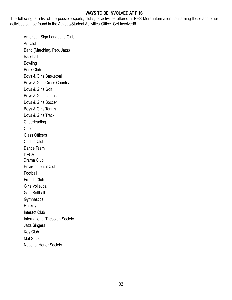#### **WAYS TO BE INVOLVED AT PHS**

The following is a list of the possible sports, clubs, or activities offered at PHS More information concerning these and other activities can be found in the Athletic/Student Activities Office. Get Involved!!

American Sign Language Club Art Club Band (Marching, Pep, Jazz) Baseball Bowling Book Club Boys & Girls Basketball Boys & Girls Cross Country Boys & Girls Golf Boys & Girls Lacrosse Boys & Girls Soccer Boys & Girls Tennis Boys & Girls Track Cheerleading Choir Class Officers Curling Club Dance Team DECA Drama Club Environmental Club Football French Club Girls Volleyball Girls Softball **Gymnastics Hockey** Interact Club International Thespian Society Jazz Singers Key Club Mat Stats National Honor Society